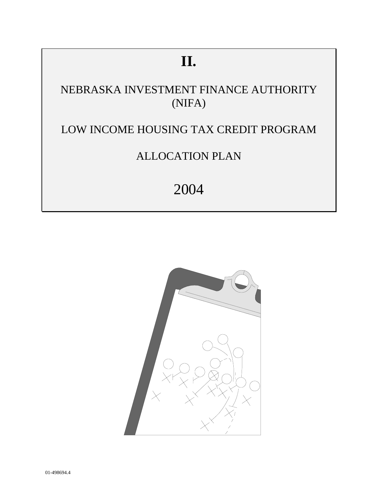# **II.**

# NEBRASKA INVESTMENT FINANCE AUTHORITY (NIFA)

# LOW INCOME HOUSING TAX CREDIT PROGRAM

# ALLOCATION PLAN

# 2004

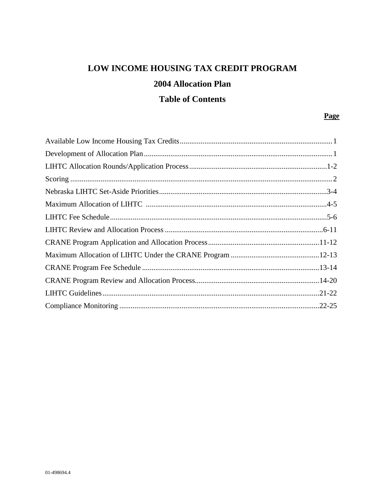# LOW INCOME HOUSING TAX CREDIT PROGRAM **2004 Allocation Plan**

# **Table of Contents**

### **Page**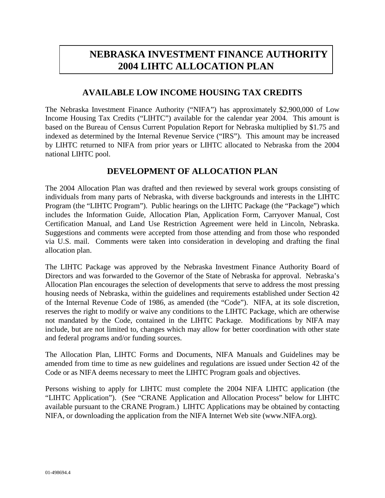# **NEBRASKA INVESTMENT FINANCE AUTHORITY 2004 LIHTC ALLOCATION PLAN**

### **AVAILABLE LOW INCOME HOUSING TAX CREDITS**

The Nebraska Investment Finance Authority ("NIFA") has approximately \$2,900,000 of Low Income Housing Tax Credits ("LIHTC") available for the calendar year 2004. This amount is based on the Bureau of Census Current Population Report for Nebraska multiplied by \$1.75 and indexed as determined by the Internal Revenue Service ("IRS"). This amount may be increased by LIHTC returned to NIFA from prior years or LIHTC allocated to Nebraska from the 2004 national LIHTC pool.

#### **DEVELOPMENT OF ALLOCATION PLAN**

The 2004 Allocation Plan was drafted and then reviewed by several work groups consisting of individuals from many parts of Nebraska, with diverse backgrounds and interests in the LIHTC Program (the "LIHTC Program"). Public hearings on the LIHTC Package (the "Package") which includes the Information Guide, Allocation Plan, Application Form, Carryover Manual, Cost Certification Manual, and Land Use Restriction Agreement were held in Lincoln, Nebraska. Suggestions and comments were accepted from those attending and from those who responded via U.S. mail. Comments were taken into consideration in developing and drafting the final allocation plan.

The LIHTC Package was approved by the Nebraska Investment Finance Authority Board of Directors and was forwarded to the Governor of the State of Nebraska for approval. Nebraska's Allocation Plan encourages the selection of developments that serve to address the most pressing housing needs of Nebraska, within the guidelines and requirements established under Section 42 of the Internal Revenue Code of 1986, as amended (the "Code"). NIFA, at its sole discretion, reserves the right to modify or waive any conditions to the LIHTC Package, which are otherwise not mandated by the Code, contained in the LIHTC Package. Modifications by NIFA may include, but are not limited to, changes which may allow for better coordination with other state and federal programs and/or funding sources.

The Allocation Plan, LIHTC Forms and Documents, NIFA Manuals and Guidelines may be amended from time to time as new guidelines and regulations are issued under Section 42 of the Code or as NIFA deems necessary to meet the LIHTC Program goals and objectives.

Persons wishing to apply for LIHTC must complete the 2004 NIFA LIHTC application (the "LIHTC Application"). (See "CRANE Application and Allocation Process" below for LIHTC available pursuant to the CRANE Program.) LIHTC Applications may be obtained by contacting NIFA, or downloading the application from the NIFA Internet Web site (www.NIFA.org).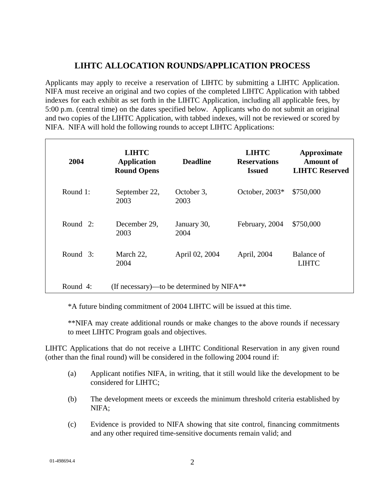# **LIHTC ALLOCATION ROUNDS/APPLICATION PROCESS**

Applicants may apply to receive a reservation of LIHTC by submitting a LIHTC Application. NIFA must receive an original and two copies of the completed LIHTC Application with tabbed indexes for each exhibit as set forth in the LIHTC Application, including all applicable fees, by 5:00 p.m. (central time) on the dates specified below. Applicants who do not submit an original and two copies of the LIHTC Application, with tabbed indexes, will not be reviewed or scored by NIFA. NIFA will hold the following rounds to accept LIHTC Applications:

| 2004        | <b>LIHTC</b><br><b>Application</b><br><b>Round Opens</b> | <b>Deadline</b>                             | <b>LIHTC</b><br><b>Reservations</b><br><b>Issued</b> | Approximate<br><b>Amount of</b><br><b>LIHTC Reserved</b> |
|-------------|----------------------------------------------------------|---------------------------------------------|------------------------------------------------------|----------------------------------------------------------|
| Round 1:    | September 22,<br>2003                                    | October 3,<br>2003                          | October, $2003*$                                     | \$750,000                                                |
| Round $2$ : | December 29,<br>2003                                     | January 30,<br>2004                         | February, 2004                                       | \$750,000                                                |
| Round 3:    | March 22,<br>2004                                        | April 02, 2004                              | April, 2004                                          | Balance of<br><b>LIHTC</b>                               |
| Round 4:    |                                                          | (If necessary)—to be determined by $NIFA**$ |                                                      |                                                          |

\*A future binding commitment of 2004 LIHTC will be issued at this time.

\*\*NIFA may create additional rounds or make changes to the above rounds if necessary to meet LIHTC Program goals and objectives.

LIHTC Applications that do not receive a LIHTC Conditional Reservation in any given round (other than the final round) will be considered in the following 2004 round if:

- (a) Applicant notifies NIFA, in writing, that it still would like the development to be considered for LIHTC;
- (b) The development meets or exceeds the minimum threshold criteria established by NIFA;
- (c) Evidence is provided to NIFA showing that site control, financing commitments and any other required time-sensitive documents remain valid; and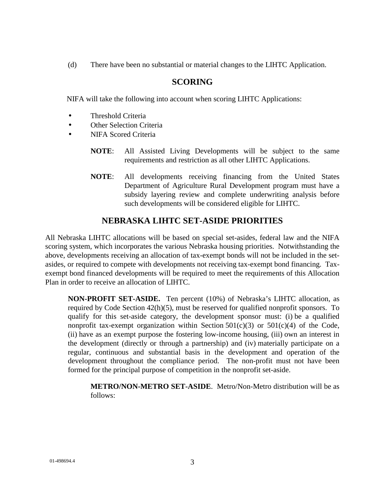(d) There have been no substantial or material changes to the LIHTC Application.

### **SCORING**

NIFA will take the following into account when scoring LIHTC Applications:

- Threshold Criteria
- Other Selection Criteria
- NIFA Scored Criteria
	- **NOTE**: All Assisted Living Developments will be subject to the same requirements and restriction as all other LIHTC Applications.
	- **NOTE**: All developments receiving financing from the United States Department of Agriculture Rural Development program must have a subsidy layering review and complete underwriting analysis before such developments will be considered eligible for LIHTC.

# **NEBRASKA LIHTC SET-ASIDE PRIORITIES**

All Nebraska LIHTC allocations will be based on special set-asides, federal law and the NIFA scoring system, which incorporates the various Nebraska housing priorities. Notwithstanding the above, developments receiving an allocation of tax-exempt bonds will not be included in the setasides, or required to compete with developments not receiving tax-exempt bond financing. Taxexempt bond financed developments will be required to meet the requirements of this Allocation Plan in order to receive an allocation of LIHTC.

**NON-PROFIT SET-ASIDE.** Ten percent (10%) of Nebraska's LIHTC allocation, as required by Code Section 42(h)(5), must be reserved for qualified nonprofit sponsors. To qualify for this set-aside category, the development sponsor must: (i) be a qualified nonprofit tax-exempt organization within Section  $501(c)(3)$  or  $501(c)(4)$  of the Code, (ii) have as an exempt purpose the fostering low-income housing, (iii) own an interest in the development (directly or through a partnership) and (iv) materially participate on a regular, continuous and substantial basis in the development and operation of the development throughout the compliance period. The non-profit must not have been formed for the principal purpose of competition in the nonprofit set-aside.

**METRO/NON-METRO SET-ASIDE**. Metro/Non-Metro distribution will be as follows: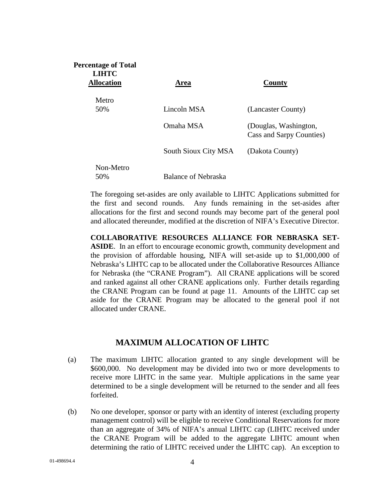| Area                 | County                                            |
|----------------------|---------------------------------------------------|
|                      |                                                   |
| Lincoln MSA          | (Lancaster County)                                |
| Omaha MSA            | (Douglas, Washington,<br>Cass and Sarpy Counties) |
| South Sioux City MSA | (Dakota County)                                   |
| Balance of Nebraska  |                                                   |
|                      |                                                   |

The foregoing set-asides are only available to LIHTC Applications submitted for the first and second rounds. Any funds remaining in the set-asides after allocations for the first and second rounds may become part of the general pool and allocated thereunder, modified at the discretion of NIFA's Executive Director.

**COLLABORATIVE RESOURCES ALLIANCE FOR NEBRASKA SET-ASIDE**. In an effort to encourage economic growth, community development and

the provision of affordable housing, NIFA will set-aside up to \$1,000,000 of Nebraska's LIHTC cap to be allocated under the Collaborative Resources Alliance for Nebraska (the "CRANE Program"). All CRANE applications will be scored and ranked against all other CRANE applications only. Further details regarding the CRANE Program can be found at page 11. Amounts of the LIHTC cap set aside for the CRANE Program may be allocated to the general pool if not allocated under CRANE.

#### **MAXIMUM ALLOCATION OF LIHTC**

- (a) The maximum LIHTC allocation granted to any single development will be \$600,000. No development may be divided into two or more developments to receive more LIHTC in the same year. Multiple applications in the same year determined to be a single development will be returned to the sender and all fees forfeited.
- (b) No one developer, sponsor or party with an identity of interest (excluding property management control) will be eligible to receive Conditional Reservations for more than an aggregate of 34% of NIFA's annual LIHTC cap (LIHTC received under the CRANE Program will be added to the aggregate LIHTC amount when determining the ratio of LIHTC received under the LIHTC cap). An exception to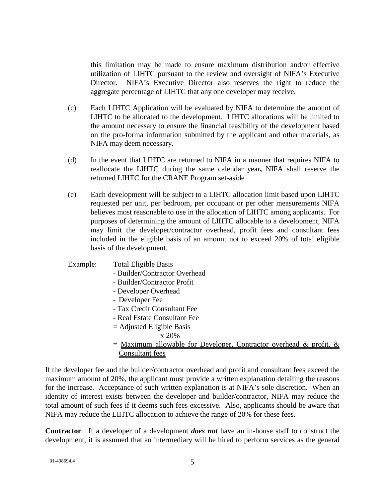this limitation may be made to ensure maximum distribution and/or effective utilization of LIHTC pursuant to the review and oversight of NIFA's Executive Director. NIFA's Executive Director also reserves the right to reduce the aggregate percentage of LIHTC that any one developer may receive.

- (c) Each LIHTC Application will be evaluated by NIFA to determine the amount of LIHTC to be allocated to the development. LIHTC allocations will be limited to the amount necessary to ensure the financial feasibility of the development based on the pro-forma information submitted by the applicant and other materials, as NIFA may deem necessary.
- (d) In the event that LIHTC are returned to NIFA in a manner that requires NIFA to reallocate the LIHTC during the same calendar year**,** NIFA shall reserve the returned LIHTC for the CRANE Program set-aside
- (e) Each development will be subject to a LIHTC allocation limit based upon LIHTC requested per unit, per bedroom, per occupant or per other measurements NIFA believes most reasonable to use in the allocation of LIHTC among applicants. For purposes of determining the amount of LIHTC allocable to a development, NIFA may limit the developer/contractor overhead, profit fees and consultant fees included in the eligible basis of an amount not to exceed 20% of total eligible basis of the development.

#### Example: Total Eligible Basis

- Builder/Contractor Overhead
- Builder/Contractor Profit
- Developer Overhead
- Developer Fee
- Tax Credit Consultant Fee
- Real Estate Consultant Fee
- = Adjusted Eligible Basis
	- x 20%
- $=$  Maximum allowable for Developer, Contractor overhead & profit, & Consultant fees

If the developer fee and the builder/contractor overhead and profit and consultant fees exceed the maximum amount of 20%, the applicant must provide a written explanation detailing the reasons for the increase. Acceptance of such written explanation is at NIFA's sole discretion. When an identity of interest exists between the developer and builder/contractor, NIFA may reduce the total amount of such fees if it deems such fees excessive. Also, applicants should be aware that NIFA may reduce the LIHTC allocation to achieve the range of 20% for these fees.

**Contractor**. If a developer of a development *does not* have an in-house staff to construct the development, it is assumed that an intermediary will be hired to perform services as the general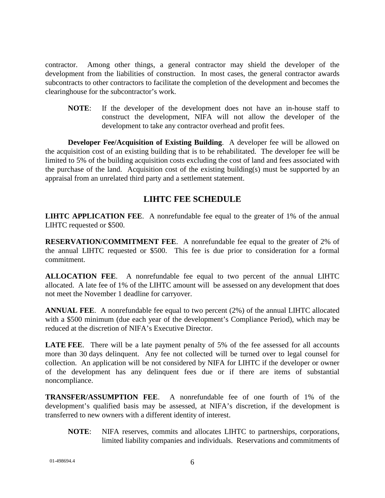contractor. Among other things, a general contractor may shield the developer of the development from the liabilities of construction. In most cases, the general contractor awards subcontracts to other contractors to facilitate the completion of the development and becomes the clearinghouse for the subcontractor's work.

**NOTE**: If the developer of the development does not have an in-house staff to construct the development, NIFA will not allow the developer of the development to take any contractor overhead and profit fees.

**Developer Fee/Acquisition of Existing Building**. A developer fee will be allowed on the acquisition cost of an existing building that is to be rehabilitated. The developer fee will be limited to 5% of the building acquisition costs excluding the cost of land and fees associated with the purchase of the land. Acquisition cost of the existing building(s) must be supported by an appraisal from an unrelated third party and a settlement statement.

### **LIHTC FEE SCHEDULE**

**LIHTC APPLICATION FEE**. A nonrefundable fee equal to the greater of 1% of the annual LIHTC requested or \$500.

**RESERVATION/COMMITMENT FEE**. A nonrefundable fee equal to the greater of 2% of the annual LIHTC requested or \$500. This fee is due prior to consideration for a formal commitment.

**ALLOCATION FEE**. A nonrefundable fee equal to two percent of the annual LIHTC allocated. A late fee of 1% of the LIHTC amount will be assessed on any development that does not meet the November 1 deadline for carryover.

**ANNUAL FEE**. A nonrefundable fee equal to two percent (2%) of the annual LIHTC allocated with a \$500 minimum (due each year of the development's Compliance Period), which may be reduced at the discretion of NIFA's Executive Director.

**LATE FEE.** There will be a late payment penalty of 5% of the fee assessed for all accounts more than 30 days delinquent. Any fee not collected will be turned over to legal counsel for collection. An application will be not considered by NIFA for LIHTC if the developer or owner of the development has any delinquent fees due or if there are items of substantial noncompliance.

**TRANSFER/ASSUMPTION FEE**. A nonrefundable fee of one fourth of 1% of the development's qualified basis may be assessed, at NIFA's discretion, if the development is transferred to new owners with a different identity of interest.

**NOTE**: NIFA reserves, commits and allocates LIHTC to partnerships, corporations, limited liability companies and individuals. Reservations and commitments of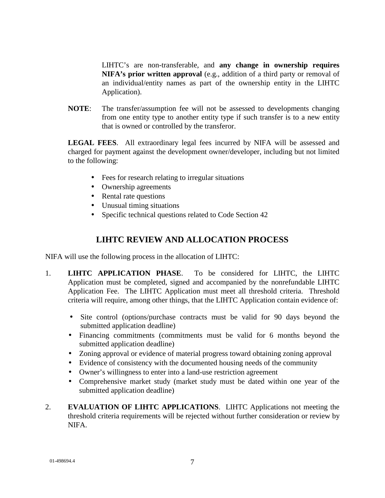LIHTC's are non-transferable, and **any change in ownership requires NIFA's prior written approval** (e.g., addition of a third party or removal of an individual/entity names as part of the ownership entity in the LIHTC Application).

**NOTE**: The transfer/assumption fee will not be assessed to developments changing from one entity type to another entity type if such transfer is to a new entity that is owned or controlled by the transferor.

**LEGAL FEES**. All extraordinary legal fees incurred by NIFA will be assessed and charged for payment against the development owner/developer, including but not limited to the following:

- Fees for research relating to irregular situations
- Ownership agreements
- Rental rate questions
- Unusual timing situations
- Specific technical questions related to Code Section 42

## **LIHTC REVIEW AND ALLOCATION PROCESS**

NIFA will use the following process in the allocation of LIHTC:

- 1. **LIHTC APPLICATION PHASE**. To be considered for LIHTC, the LIHTC Application must be completed, signed and accompanied by the nonrefundable LIHTC Application Fee. The LIHTC Application must meet all threshold criteria. Threshold criteria will require, among other things, that the LIHTC Application contain evidence of:
	- Site control (options/purchase contracts must be valid for 90 days beyond the submitted application deadline)
	- Financing commitments (commitments must be valid for 6 months beyond the submitted application deadline)
	- Zoning approval or evidence of material progress toward obtaining zoning approval
	- Evidence of consistency with the documented housing needs of the community
	- Owner's willingness to enter into a land-use restriction agreement
	- Comprehensive market study (market study must be dated within one year of the submitted application deadline)
- 2. **EVALUATION OF LIHTC APPLICATIONS**. LIHTC Applications not meeting the threshold criteria requirements will be rejected without further consideration or review by NIFA.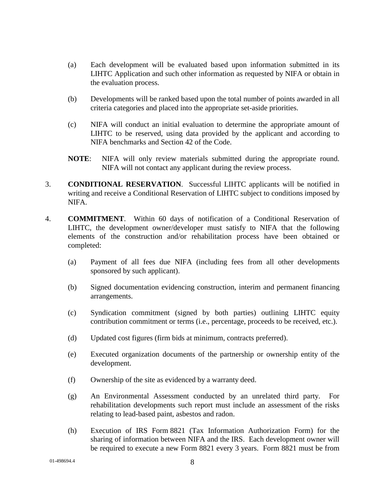- (a) Each development will be evaluated based upon information submitted in its LIHTC Application and such other information as requested by NIFA or obtain in the evaluation process.
- (b) Developments will be ranked based upon the total number of points awarded in all criteria categories and placed into the appropriate set-aside priorities.
- (c) NIFA will conduct an initial evaluation to determine the appropriate amount of LIHTC to be reserved, using data provided by the applicant and according to NIFA benchmarks and Section 42 of the Code.
- **NOTE**: NIFA will only review materials submitted during the appropriate round. NIFA will not contact any applicant during the review process.
- 3. **CONDITIONAL RESERVATION**. Successful LIHTC applicants will be notified in writing and receive a Conditional Reservation of LIHTC subject to conditions imposed by NIFA.
- 4. **COMMITMENT**. Within 60 days of notification of a Conditional Reservation of LIHTC, the development owner/developer must satisfy to NIFA that the following elements of the construction and/or rehabilitation process have been obtained or completed:
	- (a) Payment of all fees due NIFA (including fees from all other developments sponsored by such applicant).
	- (b) Signed documentation evidencing construction, interim and permanent financing arrangements.
	- (c) Syndication commitment (signed by both parties) outlining LIHTC equity contribution commitment or terms (i.e., percentage, proceeds to be received, etc.).
	- (d) Updated cost figures (firm bids at minimum, contracts preferred).
	- (e) Executed organization documents of the partnership or ownership entity of the development.
	- (f) Ownership of the site as evidenced by a warranty deed.
	- (g) An Environmental Assessment conducted by an unrelated third party. For rehabilitation developments such report must include an assessment of the risks relating to lead-based paint, asbestos and radon.
	- (h) Execution of IRS Form 8821 (Tax Information Authorization Form) for the sharing of information between NIFA and the IRS. Each development owner will be required to execute a new Form 8821 every 3 years. Form 8821 must be from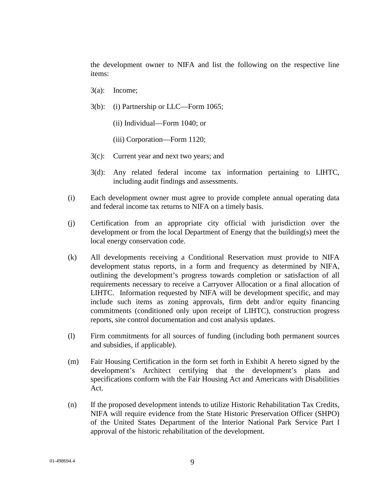the development owner to NIFA and list the following on the respective line items:

- 3(a): Income;
- 3(b): (i) Partnership or LLC—Form 1065;
	- (ii) Individual—Form 1040; or
	- (iii) Corporation—Form 1120;
- 3(c): Current year and next two years; and
- 3(d): Any related federal income tax information pertaining to LIHTC, including audit findings and assessments.
- (i) Each development owner must agree to provide complete annual operating data and federal income tax returns to NIFA on a timely basis.
- (j) Certification from an appropriate city official with jurisdiction over the development or from the local Department of Energy that the building(s) meet the local energy conservation code.
- (k) All developments receiving a Conditional Reservation must provide to NIFA development status reports, in a form and frequency as determined by NIFA, outlining the development's progress towards completion or satisfaction of all requirements necessary to receive a Carryover Allocation or a final allocation of LIHTC. Information requested by NIFA will be development specific, and may include such items as zoning approvals, firm debt and/or equity financing commitments (conditioned only upon receipt of LIHTC), construction progress reports, site control documentation and cost analysis updates.
- (l) Firm commitments for all sources of funding (including both permanent sources and subsidies, if applicable).
- (m) Fair Housing Certification in the form set forth in Exhibit A hereto signed by the development's Architect certifying that the development's plans and specifications conform with the Fair Housing Act and Americans with Disabilities Act.
- (n) If the proposed development intends to utilize Historic Rehabilitation Tax Credits, NIFA will require evidence from the State Historic Preservation Officer (SHPO) of the United States Department of the Interior National Park Service Part I approval of the historic rehabilitation of the development.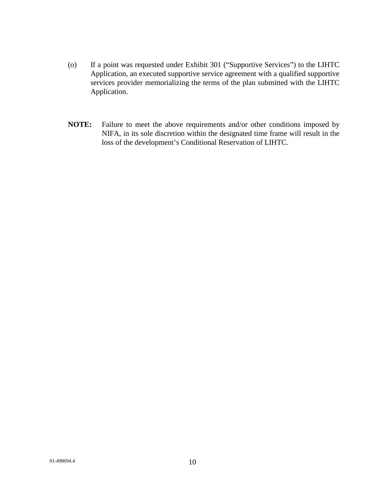- (o) If a point was requested under Exhibit 301 ("Supportive Services") to the LIHTC Application, an executed supportive service agreement with a qualified supportive services provider memorializing the terms of the plan submitted with the LIHTC Application.
- **NOTE:** Failure to meet the above requirements and/or other conditions imposed by NIFA, in its sole discretion within the designated time frame will result in the loss of the development's Conditional Reservation of LIHTC.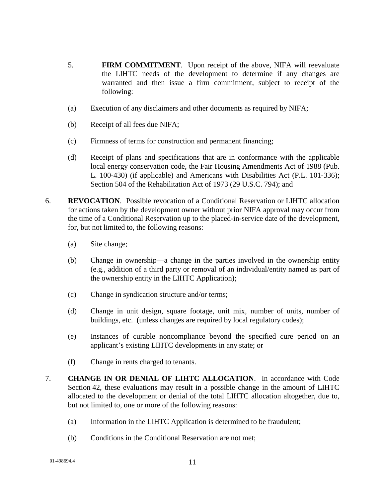- 5. **FIRM COMMITMENT**. Upon receipt of the above, NIFA will reevaluate the LIHTC needs of the development to determine if any changes are warranted and then issue a firm commitment, subject to receipt of the following:
- (a) Execution of any disclaimers and other documents as required by NIFA;
- (b) Receipt of all fees due NIFA;
- (c) Firmness of terms for construction and permanent financing;
- (d) Receipt of plans and specifications that are in conformance with the applicable local energy conservation code, the Fair Housing Amendments Act of 1988 (Pub. L. 100-430) (if applicable) and Americans with Disabilities Act (P.L. 101-336); Section 504 of the Rehabilitation Act of 1973 (29 U.S.C. 794); and
- 6. **REVOCATION**.Possible revocation of a Conditional Reservation or LIHTC allocation for actions taken by the development owner without prior NIFA approval may occur from the time of a Conditional Reservation up to the placed-in-service date of the development, for, but not limited to, the following reasons:
	- (a) Site change;
	- (b) Change in ownership—a change in the parties involved in the ownership entity (e.g., addition of a third party or removal of an individual/entity named as part of the ownership entity in the LIHTC Application);
	- (c) Change in syndication structure and/or terms;
	- (d) Change in unit design, square footage, unit mix, number of units, number of buildings, etc. (unless changes are required by local regulatory codes);
	- (e) Instances of curable noncompliance beyond the specified cure period on an applicant's existing LIHTC developments in any state; or
	- (f) Change in rents charged to tenants.
- 7. **CHANGE IN OR DENIAL OF LIHTC ALLOCATION**. In accordance with Code Section 42, these evaluations may result in a possible change in the amount of LIHTC allocated to the development or denial of the total LIHTC allocation altogether, due to, but not limited to, one or more of the following reasons:
	- (a) Information in the LIHTC Application is determined to be fraudulent;
	- (b) Conditions in the Conditional Reservation are not met;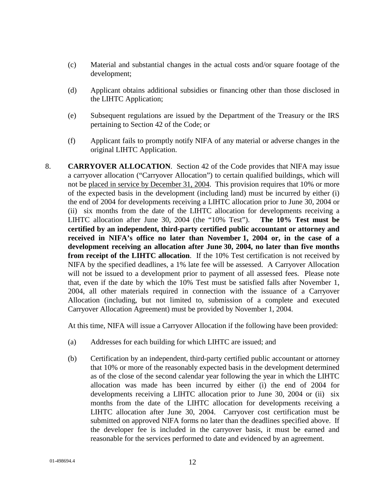- (c) Material and substantial changes in the actual costs and/or square footage of the development;
- (d) Applicant obtains additional subsidies or financing other than those disclosed in the LIHTC Application;
- (e) Subsequent regulations are issued by the Department of the Treasury or the IRS pertaining to Section 42 of the Code; or
- (f) Applicant fails to promptly notify NIFA of any material or adverse changes in the original LIHTC Application.
- 8. **CARRYOVER ALLOCATION**. Section 42 of the Code provides that NIFA may issue a carryover allocation ("Carryover Allocation") to certain qualified buildings, which will not be placed in service by December 31, 2004. This provision requires that 10% or more of the expected basis in the development (including land) must be incurred by either (i) the end of 2004 for developments receiving a LIHTC allocation prior to June 30, 2004 or (ii) six months from the date of the LIHTC allocation for developments receiving a LIHTC allocation after June 30, 2004 (the "10% Test"). **The 10% Test must be certified by an independent, third-party certified public accountant or attorney and received in NIFA's office no later than November 1, 2004 or, in the case of a development receiving an allocation after June 30, 2004, no later than five months from receipt of the LIHTC allocation**. If the 10% Test certification is not received by NIFA by the specified deadlines, a 1% late fee will be assessed. A Carryover Allocation will not be issued to a development prior to payment of all assessed fees. Please note that, even if the date by which the 10% Test must be satisfied falls after November 1, 2004, all other materials required in connection with the issuance of a Carryover Allocation (including, but not limited to, submission of a complete and executed Carryover Allocation Agreement) must be provided by November 1, 2004.

At this time, NIFA will issue a Carryover Allocation if the following have been provided:

- (a) Addresses for each building for which LIHTC are issued; and
- (b) Certification by an independent, third-party certified public accountant or attorney that 10% or more of the reasonably expected basis in the development determined as of the close of the second calendar year following the year in which the LIHTC allocation was made has been incurred by either (i) the end of 2004 for developments receiving a LIHTC allocation prior to June 30, 2004 or (ii) six months from the date of the LIHTC allocation for developments receiving a LIHTC allocation after June 30, 2004. Carryover cost certification must be submitted on approved NIFA forms no later than the deadlines specified above. If the developer fee is included in the carryover basis, it must be earned and reasonable for the services performed to date and evidenced by an agreement.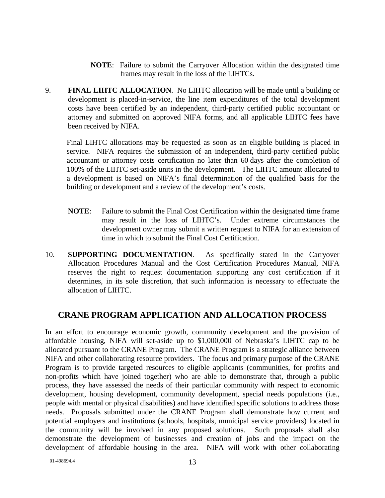- **NOTE**: Failure to submit the Carryover Allocation within the designated time frames may result in the loss of the LIHTCs.
- 9. **FINAL LIHTC ALLOCATION**. No LIHTC allocation will be made until a building or development is placed-in-service, the line item expenditures of the total development costs have been certified by an independent, third-party certified public accountant or attorney and submitted on approved NIFA forms, and all applicable LIHTC fees have been received by NIFA.

Final LIHTC allocations may be requested as soon as an eligible building is placed in service. NIFA requires the submission of an independent, third-party certified public accountant or attorney costs certification no later than 60 days after the completion of 100% of the LIHTC set-aside units in the development. The LIHTC amount allocated to a development is based on NIFA's final determination of the qualified basis for the building or development and a review of the development's costs.

- **NOTE**: Failure to submit the Final Cost Certification within the designated time frame may result in the loss of LIHTC's. Under extreme circumstances the development owner may submit a written request to NIFA for an extension of time in which to submit the Final Cost Certification.
- 10. **SUPPORTING DOCUMENTATION**. As specifically stated in the Carryover Allocation Procedures Manual and the Cost Certification Procedures Manual, NIFA reserves the right to request documentation supporting any cost certification if it determines, in its sole discretion, that such information is necessary to effectuate the allocation of LIHTC.

#### **CRANE PROGRAM APPLICATION AND ALLOCATION PROCESS**

In an effort to encourage economic growth, community development and the provision of affordable housing, NIFA will set-aside up to \$1,000,000 of Nebraska's LIHTC cap to be allocated pursuant to the CRANE Program. The CRANE Program is a strategic alliance between NIFA and other collaborating resource providers. The focus and primary purpose of the CRANE Program is to provide targeted resources to eligible applicants (communities, for profits and non-profits which have joined together) who are able to demonstrate that, through a public process, they have assessed the needs of their particular community with respect to economic development, housing development, community development, special needs populations (i.e., people with mental or physical disabilities) and have identified specific solutions to address those needs. Proposals submitted under the CRANE Program shall demonstrate how current and potential employers and institutions (schools, hospitals, municipal service providers) located in the community will be involved in any proposed solutions. Such proposals shall also demonstrate the development of businesses and creation of jobs and the impact on the development of affordable housing in the area. NIFA will work with other collaborating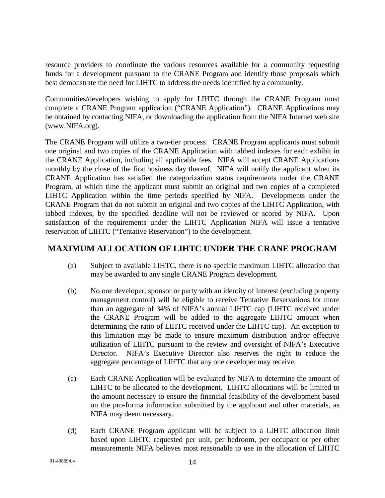resource providers to coordinate the various resources available for a community requesting funds for a development pursuant to the CRANE Program and identify those proposals which best demonstrate the need for LIHTC to address the needs identified by a community.

Communities/developers wishing to apply for LIHTC through the CRANE Program must complete a CRANE Program application ("CRANE Application"). CRANE Applications may be obtained by contacting NIFA, or downloading the application from the NIFA Internet web site (www.NIFA.org).

The CRANE Program will utilize a two-tier process. CRANE Program applicants must submit one original and two copies of the CRANE Application with tabbed indexes for each exhibit in the CRANE Application, including all applicable fees. NIFA will accept CRANE Applications monthly by the close of the first business day thereof. NIFA will notify the applicant when its CRANE Application has satisfied the categorization status requirements under the CRANE Program, at which time the applicant must submit an original and two copies of a completed LIHTC Application within the time periods specified by NIFA. Developments under the CRANE Program that do not submit an original and two copies of the LIHTC Application, with tabbed indexes, by the specified deadline will not be reviewed or scored by NIFA. Upon satisfaction of the requirements under the LIHTC Application NIFA will issue a tentative reservation of LIHTC ("Tentative Reservation") to the development.

## **MAXIMUM ALLOCATION OF LIHTC UNDER THE CRANE PROGRAM**

- (a) Subject to available LIHTC, there is no specific maximum LIHTC allocation that may be awarded to any single CRANE Program development.
- (b) No one developer, sponsor or party with an identity of interest (excluding property management control) will be eligible to receive Tentative Reservations for more than an aggregate of 34% of NIFA's annual LIHTC cap (LIHTC received under the CRANE Program will be added to the aggregate LIHTC amount when determining the ratio of LIHTC received under the LIHTC cap). An exception to this limitation may be made to ensure maximum distribution and/or effective utilization of LIHTC pursuant to the review and oversight of NIFA's Executive Director. NIFA's Executive Director also reserves the right to reduce the aggregate percentage of LIHTC that any one developer may receive.
- (c) Each CRANE Application will be evaluated by NIFA to determine the amount of LIHTC to be allocated to the development. LIHTC allocations will be limited to the amount necessary to ensure the financial feasibility of the development based on the pro-forma information submitted by the applicant and other materials, as NIFA may deem necessary.
- (d) Each CRANE Program applicant will be subject to a LIHTC allocation limit based upon LIHTC requested per unit, per bedroom, per occupant or per other measurements NIFA believes most reasonable to use in the allocation of LIHTC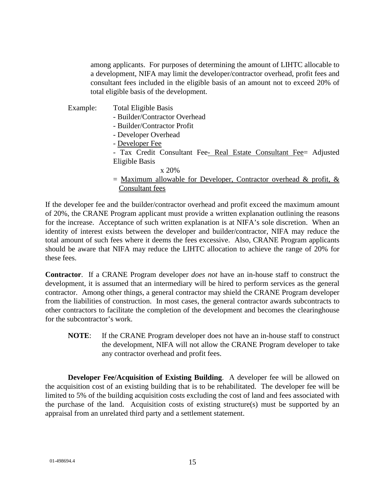among applicants. For purposes of determining the amount of LIHTC allocable to a development, NIFA may limit the developer/contractor overhead, profit fees and consultant fees included in the eligible basis of an amount not to exceed 20% of total eligible basis of the development.

- Example: Total Eligible Basis
	- Builder/Contractor Overhead
	- Builder/Contractor Profit
	- Developer Overhead
	- Developer Fee
	- Tax Credit Consultant Fee- Real Estate Consultant Fee= Adjusted Eligible Basis
		- x 20%
	- $=$  Maximum allowable for Developer, Contractor overhead & profit, & Consultant fees

If the developer fee and the builder/contractor overhead and profit exceed the maximum amount of 20%, the CRANE Program applicant must provide a written explanation outlining the reasons for the increase. Acceptance of such written explanation is at NIFA's sole discretion. When an identity of interest exists between the developer and builder/contractor, NIFA may reduce the total amount of such fees where it deems the fees excessive. Also, CRANE Program applicants should be aware that NIFA may reduce the LIHTC allocation to achieve the range of 20% for these fees.

**Contractor**. If a CRANE Program developer *does not* have an in-house staff to construct the development, it is assumed that an intermediary will be hired to perform services as the general contractor. Among other things, a general contractor may shield the CRANE Program developer from the liabilities of construction. In most cases, the general contractor awards subcontracts to other contractors to facilitate the completion of the development and becomes the clearinghouse for the subcontractor's work.

**NOTE**: If the CRANE Program developer does not have an in-house staff to construct the development, NIFA will not allow the CRANE Program developer to take any contractor overhead and profit fees.

**Developer Fee/Acquisition of Existing Building**. A developer fee will be allowed on the acquisition cost of an existing building that is to be rehabilitated. The developer fee will be limited to 5% of the building acquisition costs excluding the cost of land and fees associated with the purchase of the land. Acquisition costs of existing structure(s) must be supported by an appraisal from an unrelated third party and a settlement statement.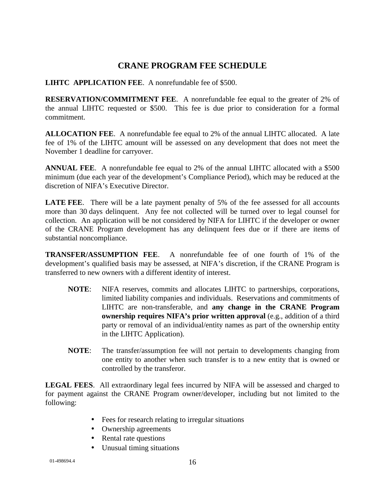## **CRANE PROGRAM FEE SCHEDULE**

**LIHTC APPLICATION FEE**. A nonrefundable fee of \$500.

**RESERVATION/COMMITMENT FEE**. A nonrefundable fee equal to the greater of 2% of the annual LIHTC requested or \$500. This fee is due prior to consideration for a formal commitment.

**ALLOCATION FEE**. A nonrefundable fee equal to 2% of the annual LIHTC allocated. A late fee of 1% of the LIHTC amount will be assessed on any development that does not meet the November 1 deadline for carryover.

**ANNUAL FEE**. A nonrefundable fee equal to 2% of the annual LIHTC allocated with a \$500 minimum (due each year of the development's Compliance Period), which may be reduced at the discretion of NIFA's Executive Director.

**LATE FEE.** There will be a late payment penalty of 5% of the fee assessed for all accounts more than 30 days delinquent. Any fee not collected will be turned over to legal counsel for collection. An application will be not considered by NIFA for LIHTC if the developer or owner of the CRANE Program development has any delinquent fees due or if there are items of substantial noncompliance.

**TRANSFER/ASSUMPTION FEE**. A nonrefundable fee of one fourth of 1% of the development's qualified basis may be assessed, at NIFA's discretion, if the CRANE Program is transferred to new owners with a different identity of interest.

- **NOTE**: NIFA reserves, commits and allocates LIHTC to partnerships, corporations, limited liability companies and individuals. Reservations and commitments of LIHTC are non-transferable, and **any change in the CRANE Program ownership requires NIFA's prior written approval** (e.g., addition of a third party or removal of an individual/entity names as part of the ownership entity in the LIHTC Application).
- **NOTE**: The transfer/assumption fee will not pertain to developments changing from one entity to another when such transfer is to a new entity that is owned or controlled by the transferor.

**LEGAL FEES**. All extraordinary legal fees incurred by NIFA will be assessed and charged to for payment against the CRANE Program owner/developer, including but not limited to the following:

- Fees for research relating to irregular situations
- Ownership agreements
- Rental rate questions
- Unusual timing situations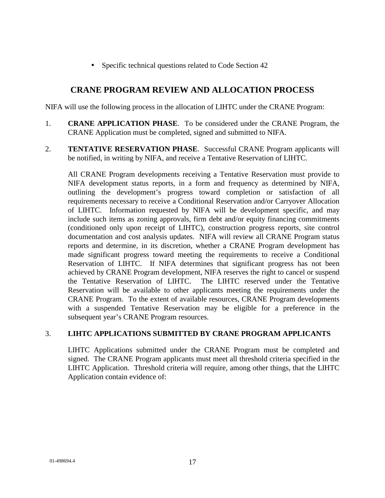• Specific technical questions related to Code Section 42

### **CRANE PROGRAM REVIEW AND ALLOCATION PROCESS**

NIFA will use the following process in the allocation of LIHTC under the CRANE Program:

- 1. **CRANE APPLICATION PHASE**. To be considered under the CRANE Program, the CRANE Application must be completed, signed and submitted to NIFA.
- 2. **TENTATIVE RESERVATION PHASE**. Successful CRANE Program applicants will be notified, in writing by NIFA, and receive a Tentative Reservation of LIHTC.

All CRANE Program developments receiving a Tentative Reservation must provide to NIFA development status reports, in a form and frequency as determined by NIFA, outlining the development's progress toward completion or satisfaction of all requirements necessary to receive a Conditional Reservation and/or Carryover Allocation of LIHTC. Information requested by NIFA will be development specific, and may include such items as zoning approvals, firm debt and/or equity financing commitments (conditioned only upon receipt of LIHTC), construction progress reports, site control documentation and cost analysis updates. NIFA will review all CRANE Program status reports and determine, in its discretion, whether a CRANE Program development has made significant progress toward meeting the requirements to receive a Conditional Reservation of LIHTC. If NIFA determines that significant progress has not been achieved by CRANE Program development, NIFA reserves the right to cancel or suspend the Tentative Reservation of LIHTC. The LIHTC reserved under the Tentative Reservation will be available to other applicants meeting the requirements under the CRANE Program. To the extent of available resources, CRANE Program developments with a suspended Tentative Reservation may be eligible for a preference in the subsequent year's CRANE Program resources.

#### 3. **LIHTC APPLICATIONS SUBMITTED BY CRANE PROGRAM APPLICANTS**

LIHTC Applications submitted under the CRANE Program must be completed and signed. The CRANE Program applicants must meet all threshold criteria specified in the LIHTC Application. Threshold criteria will require, among other things, that the LIHTC Application contain evidence of: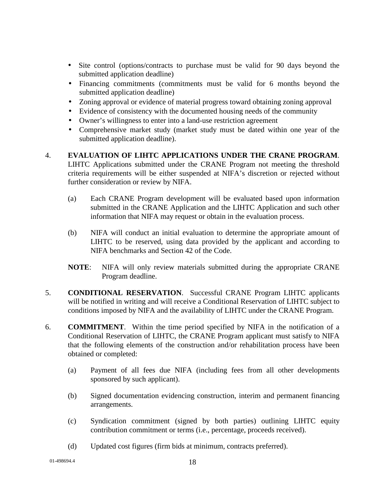- Site control (options/contracts to purchase must be valid for 90 days beyond the submitted application deadline)
- Financing commitments (commitments must be valid for 6 months beyond the submitted application deadline)
- Zoning approval or evidence of material progress toward obtaining zoning approval
- Evidence of consistency with the documented housing needs of the community
- Owner's willingness to enter into a land-use restriction agreement
- Comprehensive market study (market study must be dated within one year of the submitted application deadline).
- 4. **EVALUATION OF LIHTC APPLICATIONS UNDER THE CRANE PROGRAM**. LIHTC Applications submitted under the CRANE Program not meeting the threshold criteria requirements will be either suspended at NIFA's discretion or rejected without further consideration or review by NIFA.
	- (a) Each CRANE Program development will be evaluated based upon information submitted in the CRANE Application and the LIHTC Application and such other information that NIFA may request or obtain in the evaluation process.
	- (b) NIFA will conduct an initial evaluation to determine the appropriate amount of LIHTC to be reserved, using data provided by the applicant and according to NIFA benchmarks and Section 42 of the Code.
	- **NOTE**: NIFA will only review materials submitted during the appropriate CRANE Program deadline.
- 5. **CONDITIONAL RESERVATION**. Successful CRANE Program LIHTC applicants will be notified in writing and will receive a Conditional Reservation of LIHTC subject to conditions imposed by NIFA and the availability of LIHTC under the CRANE Program.
- 6. **COMMITMENT**. Within the time period specified by NIFA in the notification of a Conditional Reservation of LIHTC, the CRANE Program applicant must satisfy to NIFA that the following elements of the construction and/or rehabilitation process have been obtained or completed:
	- (a) Payment of all fees due NIFA (including fees from all other developments sponsored by such applicant).
	- (b) Signed documentation evidencing construction, interim and permanent financing arrangements.
	- (c) Syndication commitment (signed by both parties) outlining LIHTC equity contribution commitment or terms (i.e., percentage, proceeds received).
	- (d) Updated cost figures (firm bids at minimum, contracts preferred).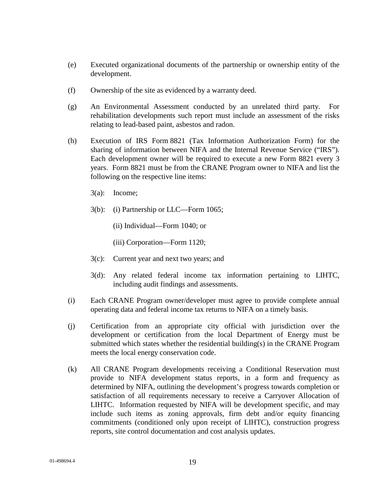- (e) Executed organizational documents of the partnership or ownership entity of the development.
- (f) Ownership of the site as evidenced by a warranty deed.
- (g) An Environmental Assessment conducted by an unrelated third party. For rehabilitation developments such report must include an assessment of the risks relating to lead-based paint, asbestos and radon.
- (h) Execution of IRS Form 8821 (Tax Information Authorization Form) for the sharing of information between NIFA and the Internal Revenue Service ("IRS"). Each development owner will be required to execute a new Form 8821 every 3 years. Form 8821 must be from the CRANE Program owner to NIFA and list the following on the respective line items:
	- 3(a): Income;
	- 3(b): (i) Partnership or LLC—Form 1065;
		- (ii) Individual—Form 1040; or
		- (iii) Corporation—Form 1120;
	- 3(c): Current year and next two years; and
	- 3(d): Any related federal income tax information pertaining to LIHTC, including audit findings and assessments.
- (i) Each CRANE Program owner/developer must agree to provide complete annual operating data and federal income tax returns to NIFA on a timely basis.
- (j) Certification from an appropriate city official with jurisdiction over the development or certification from the local Department of Energy must be submitted which states whether the residential building(s) in the CRANE Program meets the local energy conservation code.
- (k) All CRANE Program developments receiving a Conditional Reservation must provide to NIFA development status reports, in a form and frequency as determined by NIFA, outlining the development's progress towards completion or satisfaction of all requirements necessary to receive a Carryover Allocation of LIHTC. Information requested by NIFA will be development specific, and may include such items as zoning approvals, firm debt and/or equity financing commitments (conditioned only upon receipt of LIHTC), construction progress reports, site control documentation and cost analysis updates.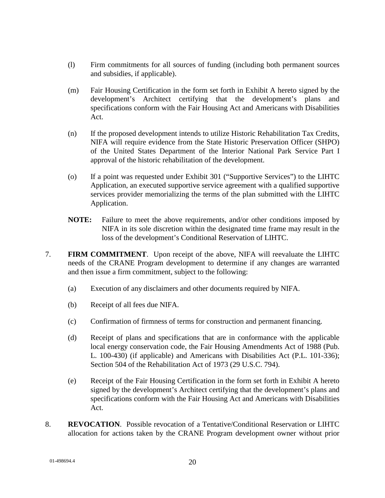- (l) Firm commitments for all sources of funding (including both permanent sources and subsidies, if applicable).
- (m) Fair Housing Certification in the form set forth in Exhibit A hereto signed by the development's Architect certifying that the development's plans and specifications conform with the Fair Housing Act and Americans with Disabilities Act.
- (n) If the proposed development intends to utilize Historic Rehabilitation Tax Credits, NIFA will require evidence from the State Historic Preservation Officer (SHPO) of the United States Department of the Interior National Park Service Part I approval of the historic rehabilitation of the development.
- (o) If a point was requested under Exhibit 301 ("Supportive Services") to the LIHTC Application, an executed supportive service agreement with a qualified supportive services provider memorializing the terms of the plan submitted with the LIHTC Application.
- **NOTE:** Failure to meet the above requirements, and/or other conditions imposed by NIFA in its sole discretion within the designated time frame may result in the loss of the development's Conditional Reservation of LIHTC.
- 7. **FIRM COMMITMENT**. Upon receipt of the above, NIFA will reevaluate the LIHTC needs of the CRANE Program development to determine if any changes are warranted and then issue a firm commitment, subject to the following:
	- (a) Execution of any disclaimers and other documents required by NIFA.
	- (b) Receipt of all fees due NIFA.
	- (c) Confirmation of firmness of terms for construction and permanent financing.
	- (d) Receipt of plans and specifications that are in conformance with the applicable local energy conservation code, the Fair Housing Amendments Act of 1988 (Pub. L. 100-430) (if applicable) and Americans with Disabilities Act (P.L. 101-336); Section 504 of the Rehabilitation Act of 1973 (29 U.S.C. 794).
	- (e) Receipt of the Fair Housing Certification in the form set forth in Exhibit A hereto signed by the development's Architect certifying that the development's plans and specifications conform with the Fair Housing Act and Americans with Disabilities Act.
- 8. **REVOCATION**.Possible revocation of a Tentative/Conditional Reservation or LIHTC allocation for actions taken by the CRANE Program development owner without prior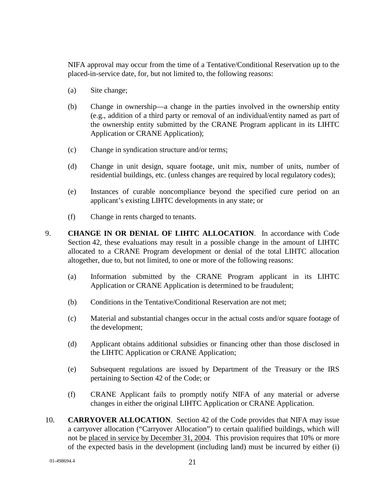NIFA approval may occur from the time of a Tentative/Conditional Reservation up to the placed-in-service date, for, but not limited to, the following reasons:

- (a) Site change;
- (b) Change in ownership—a change in the parties involved in the ownership entity (e.g., addition of a third party or removal of an individual/entity named as part of the ownership entity submitted by the CRANE Program applicant in its LIHTC Application or CRANE Application);
- (c) Change in syndication structure and/or terms;
- (d) Change in unit design, square footage, unit mix, number of units, number of residential buildings, etc. (unless changes are required by local regulatory codes);
- (e) Instances of curable noncompliance beyond the specified cure period on an applicant's existing LIHTC developments in any state; or
- (f) Change in rents charged to tenants.
- 9. **CHANGE IN OR DENIAL OF LIHTC ALLOCATION**. In accordance with Code Section 42, these evaluations may result in a possible change in the amount of LIHTC allocated to a CRANE Program development or denial of the total LIHTC allocation altogether, due to, but not limited, to one or more of the following reasons:
	- (a) Information submitted by the CRANE Program applicant in its LIHTC Application or CRANE Application is determined to be fraudulent;
	- (b) Conditions in the Tentative/Conditional Reservation are not met;
	- (c) Material and substantial changes occur in the actual costs and/or square footage of the development;
	- (d) Applicant obtains additional subsidies or financing other than those disclosed in the LIHTC Application or CRANE Application;
	- (e) Subsequent regulations are issued by Department of the Treasury or the IRS pertaining to Section 42 of the Code; or
	- (f) CRANE Applicant fails to promptly notify NIFA of any material or adverse changes in either the original LIHTC Application or CRANE Application.
- 10. **CARRYOVER ALLOCATION**. Section 42 of the Code provides that NIFA may issue a carryover allocation ("Carryover Allocation") to certain qualified buildings, which will not be placed in service by December 31, 2004. This provision requires that 10% or more of the expected basis in the development (including land) must be incurred by either (i)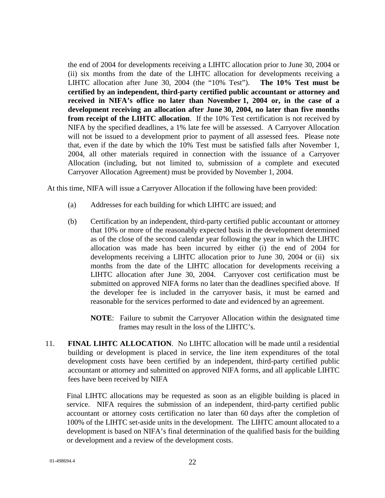the end of 2004 for developments receiving a LIHTC allocation prior to June 30, 2004 or (ii) six months from the date of the LIHTC allocation for developments receiving a LIHTC allocation after June 30, 2004 (the "10% Test"). **The 10% Test must be certified by an independent, third-party certified public accountant or attorney and received in NIFA's office no later than November 1, 2004 or, in the case of a development receiving an allocation after June 30, 2004, no later than five months from receipt of the LIHTC allocation**. If the 10% Test certification is not received by NIFA by the specified deadlines, a 1% late fee will be assessed. A Carryover Allocation will not be issued to a development prior to payment of all assessed fees. Please note that, even if the date by which the 10% Test must be satisfied falls after November 1, 2004, all other materials required in connection with the issuance of a Carryover Allocation (including, but not limited to, submission of a complete and executed Carryover Allocation Agreement) must be provided by November 1, 2004.

At this time, NIFA will issue a Carryover Allocation if the following have been provided:

- (a) Addresses for each building for which LIHTC are issued; and
- (b) Certification by an independent, third-party certified public accountant or attorney that 10% or more of the reasonably expected basis in the development determined as of the close of the second calendar year following the year in which the LIHTC allocation was made has been incurred by either (i) the end of 2004 for developments receiving a LIHTC allocation prior to June 30, 2004 or (ii) six months from the date of the LIHTC allocation for developments receiving a LIHTC allocation after June 30, 2004. Carryover cost certification must be submitted on approved NIFA forms no later than the deadlines specified above. If the developer fee is included in the carryover basis, it must be earned and reasonable for the services performed to date and evidenced by an agreement.
	- **NOTE**: Failure to submit the Carryover Allocation within the designated time frames may result in the loss of the LIHTC's.
- 11. **FINAL LIHTC ALLOCATION**. No LIHTC allocation will be made until a residential building or development is placed in service, the line item expenditures of the total development costs have been certified by an independent, third-party certified public accountant or attorney and submitted on approved NIFA forms, and all applicable LIHTC fees have been received by NIFA

Final LIHTC allocations may be requested as soon as an eligible building is placed in service. NIFA requires the submission of an independent, third-party certified public accountant or attorney costs certification no later than 60 days after the completion of 100% of the LIHTC set-aside units in the development. The LIHTC amount allocated to a development is based on NIFA's final determination of the qualified basis for the building or development and a review of the development costs.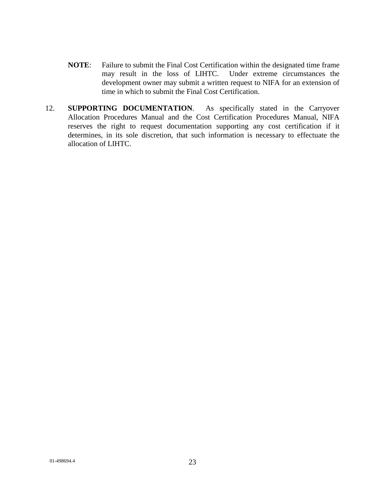- **NOTE**: Failure to submit the Final Cost Certification within the designated time frame may result in the loss of LIHTC. Under extreme circumstances the development owner may submit a written request to NIFA for an extension of time in which to submit the Final Cost Certification.
- 12. **SUPPORTING DOCUMENTATION**. As specifically stated in the Carryover Allocation Procedures Manual and the Cost Certification Procedures Manual, NIFA reserves the right to request documentation supporting any cost certification if it determines, in its sole discretion, that such information is necessary to effectuate the allocation of LIHTC.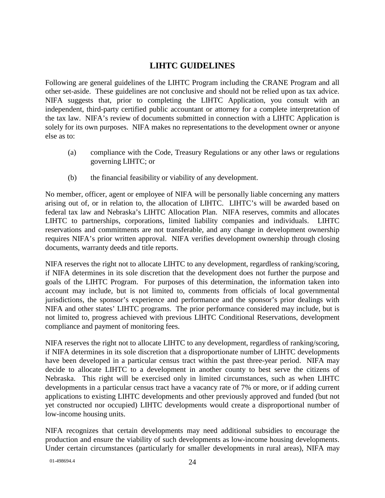## **LIHTC GUIDELINES**

Following are general guidelines of the LIHTC Program including the CRANE Program and all other set-aside. These guidelines are not conclusive and should not be relied upon as tax advice. NIFA suggests that, prior to completing the LIHTC Application, you consult with an independent, third-party certified public accountant or attorney for a complete interpretation of the tax law. NIFA's review of documents submitted in connection with a LIHTC Application is solely for its own purposes. NIFA makes no representations to the development owner or anyone else as to:

- (a) compliance with the Code, Treasury Regulations or any other laws or regulations governing LIHTC; or
- (b) the financial feasibility or viability of any development.

No member, officer, agent or employee of NIFA will be personally liable concerning any matters arising out of, or in relation to, the allocation of LIHTC. LIHTC's will be awarded based on federal tax law and Nebraska's LIHTC Allocation Plan. NIFA reserves, commits and allocates LIHTC to partnerships, corporations, limited liability companies and individuals. LIHTC reservations and commitments are not transferable, and any change in development ownership requires NIFA's prior written approval. NIFA verifies development ownership through closing documents, warranty deeds and title reports.

NIFA reserves the right not to allocate LIHTC to any development, regardless of ranking/scoring, if NIFA determines in its sole discretion that the development does not further the purpose and goals of the LIHTC Program. For purposes of this determination, the information taken into account may include, but is not limited to, comments from officials of local governmental jurisdictions, the sponsor's experience and performance and the sponsor's prior dealings with NIFA and other states' LIHTC programs. The prior performance considered may include, but is not limited to, progress achieved with previous LIHTC Conditional Reservations, development compliance and payment of monitoring fees.

NIFA reserves the right not to allocate LIHTC to any development, regardless of ranking/scoring, if NIFA determines in its sole discretion that a disproportionate number of LIHTC developments have been developed in a particular census tract within the past three-year period. NIFA may decide to allocate LIHTC to a development in another county to best serve the citizens of Nebraska. This right will be exercised only in limited circumstances, such as when LIHTC developments in a particular census tract have a vacancy rate of 7% or more, or if adding current applications to existing LIHTC developments and other previously approved and funded (but not yet constructed nor occupied) LIHTC developments would create a disproportional number of low-income housing units.

NIFA recognizes that certain developments may need additional subsidies to encourage the production and ensure the viability of such developments as low-income housing developments. Under certain circumstances (particularly for smaller developments in rural areas), NIFA may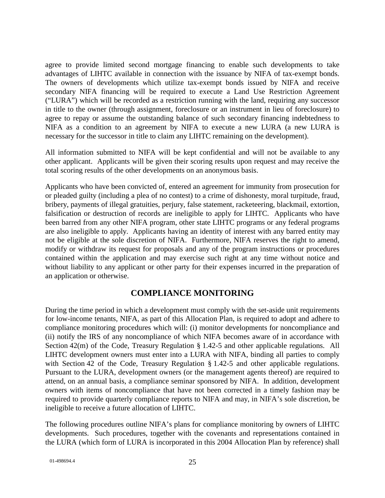agree to provide limited second mortgage financing to enable such developments to take advantages of LIHTC available in connection with the issuance by NIFA of tax-exempt bonds. The owners of developments which utilize tax-exempt bonds issued by NIFA and receive secondary NIFA financing will be required to execute a Land Use Restriction Agreement ("LURA") which will be recorded as a restriction running with the land, requiring any successor in title to the owner (through assignment, foreclosure or an instrument in lieu of foreclosure) to agree to repay or assume the outstanding balance of such secondary financing indebtedness to NIFA as a condition to an agreement by NIFA to execute a new LURA (a new LURA is necessary for the successor in title to claim any LIHTC remaining on the development).

All information submitted to NIFA will be kept confidential and will not be available to any other applicant. Applicants will be given their scoring results upon request and may receive the total scoring results of the other developments on an anonymous basis.

Applicants who have been convicted of, entered an agreement for immunity from prosecution for or pleaded guilty (including a plea of no contest) to a crime of dishonesty, moral turpitude, fraud, bribery, payments of illegal gratuities, perjury, false statement, racketeering, blackmail, extortion, falsification or destruction of records are ineligible to apply for LIHTC. Applicants who have been barred from any other NIFA program, other state LIHTC programs or any federal programs are also ineligible to apply. Applicants having an identity of interest with any barred entity may not be eligible at the sole discretion of NIFA. Furthermore, NIFA reserves the right to amend, modify or withdraw its request for proposals and any of the program instructions or procedures contained within the application and may exercise such right at any time without notice and without liability to any applicant or other party for their expenses incurred in the preparation of an application or otherwise.

## **COMPLIANCE MONITORING**

During the time period in which a development must comply with the set-aside unit requirements for low-income tenants, NIFA, as part of this Allocation Plan, is required to adopt and adhere to compliance monitoring procedures which will: (i) monitor developments for noncompliance and (ii) notify the IRS of any noncompliance of which NIFA becomes aware of in accordance with Section 42(m) of the Code, Treasury Regulation § 1.42-5 and other applicable regulations. All LIHTC development owners must enter into a LURA with NIFA, binding all parties to comply with Section 42 of the Code, Treasury Regulation § 1.42-5 and other applicable regulations. Pursuant to the LURA, development owners (or the management agents thereof) are required to attend, on an annual basis, a compliance seminar sponsored by NIFA. In addition, development owners with items of noncompliance that have not been corrected in a timely fashion may be required to provide quarterly compliance reports to NIFA and may, in NIFA's sole discretion, be ineligible to receive a future allocation of LIHTC.

The following procedures outline NIFA's plans for compliance monitoring by owners of LIHTC developments. Such procedures, together with the covenants and representations contained in the LURA (which form of LURA is incorporated in this 2004 Allocation Plan by reference) shall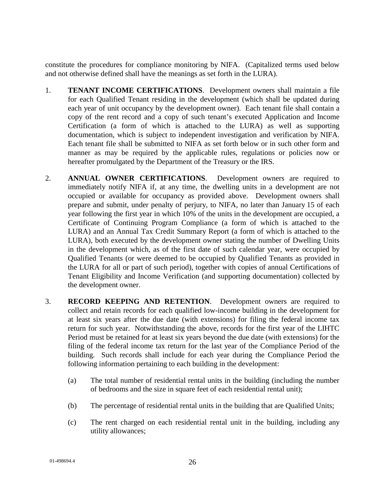constitute the procedures for compliance monitoring by NIFA. (Capitalized terms used below and not otherwise defined shall have the meanings as set forth in the LURA).

- 1. **TENANT INCOME CERTIFICATIONS**. Development owners shall maintain a file for each Qualified Tenant residing in the development (which shall be updated during each year of unit occupancy by the development owner). Each tenant file shall contain a copy of the rent record and a copy of such tenant's executed Application and Income Certification (a form of which is attached to the LURA) as well as supporting documentation, which is subject to independent investigation and verification by NIFA. Each tenant file shall be submitted to NIFA as set forth below or in such other form and manner as may be required by the applicable rules, regulations or policies now or hereafter promulgated by the Department of the Treasury or the IRS.
- 2. **ANNUAL OWNER CERTIFICATIONS**. Development owners are required to immediately notify NIFA if, at any time, the dwelling units in a development are not occupied or available for occupancy as provided above. Development owners shall prepare and submit, under penalty of perjury, to NIFA, no later than January 15 of each year following the first year in which 10% of the units in the development are occupied, a Certificate of Continuing Program Compliance (a form of which is attached to the LURA) and an Annual Tax Credit Summary Report (a form of which is attached to the LURA), both executed by the development owner stating the number of Dwelling Units in the development which, as of the first date of such calendar year, were occupied by Qualified Tenants (or were deemed to be occupied by Qualified Tenants as provided in the LURA for all or part of such period), together with copies of annual Certifications of Tenant Eligibility and Income Verification (and supporting documentation) collected by the development owner.
- 3. **RECORD KEEPING AND RETENTION**. Development owners are required to collect and retain records for each qualified low-income building in the development for at least six years after the due date (with extensions) for filing the federal income tax return for such year. Notwithstanding the above, records for the first year of the LIHTC Period must be retained for at least six years beyond the due date (with extensions) for the filing of the federal income tax return for the last year of the Compliance Period of the building. Such records shall include for each year during the Compliance Period the following information pertaining to each building in the development:
	- (a) The total number of residential rental units in the building (including the number of bedrooms and the size in square feet of each residential rental unit);
	- (b) The percentage of residential rental units in the building that are Qualified Units;
	- (c) The rent charged on each residential rental unit in the building, including any utility allowances;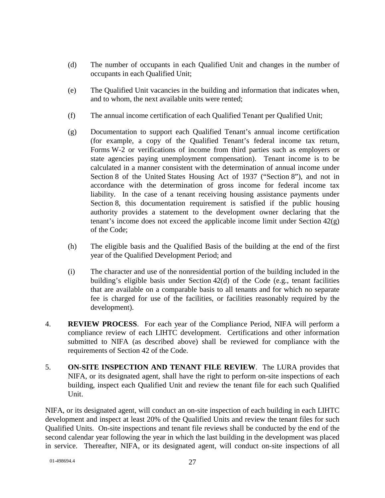- (d) The number of occupants in each Qualified Unit and changes in the number of occupants in each Qualified Unit;
- (e) The Qualified Unit vacancies in the building and information that indicates when, and to whom, the next available units were rented;
- (f) The annual income certification of each Qualified Tenant per Qualified Unit;
- (g) Documentation to support each Qualified Tenant's annual income certification (for example, a copy of the Qualified Tenant's federal income tax return, Forms W-2 or verifications of income from third parties such as employers or state agencies paying unemployment compensation). Tenant income is to be calculated in a manner consistent with the determination of annual income under Section 8 of the United States Housing Act of 1937 ("Section 8"), and not in accordance with the determination of gross income for federal income tax liability. In the case of a tenant receiving housing assistance payments under Section 8, this documentation requirement is satisfied if the public housing authority provides a statement to the development owner declaring that the tenant's income does not exceed the applicable income limit under Section 42(g) of the Code;
- (h) The eligible basis and the Qualified Basis of the building at the end of the first year of the Qualified Development Period; and
- (i) The character and use of the nonresidential portion of the building included in the building's eligible basis under Section 42(d) of the Code (e.g., tenant facilities that are available on a comparable basis to all tenants and for which no separate fee is charged for use of the facilities, or facilities reasonably required by the development).
- 4. **REVIEW PROCESS**. For each year of the Compliance Period, NIFA will perform a compliance review of each LIHTC development. Certifications and other information submitted to NIFA (as described above) shall be reviewed for compliance with the requirements of Section 42 of the Code.
- 5. **ON-SITE INSPECTION AND TENANT FILE REVIEW**. The LURA provides that NIFA, or its designated agent, shall have the right to perform on-site inspections of each building, inspect each Qualified Unit and review the tenant file for each such Qualified Unit.

NIFA, or its designated agent, will conduct an on-site inspection of each building in each LIHTC development and inspect at least 20% of the Qualified Units and review the tenant files for such Qualified Units. On-site inspections and tenant file reviews shall be conducted by the end of the second calendar year following the year in which the last building in the development was placed in service. Thereafter, NIFA, or its designated agent, will conduct on-site inspections of all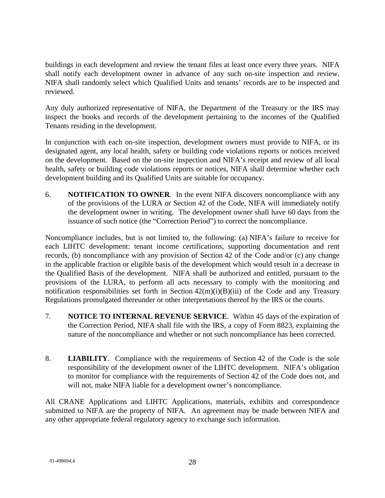buildings in each development and review the tenant files at least once every three years. NIFA shall notify each development owner in advance of any such on-site inspection and review. NIFA shall randomly select which Qualified Units and tenants' records are to be inspected and reviewed.

Any duly authorized representative of NIFA, the Department of the Treasury or the IRS may inspect the books and records of the development pertaining to the incomes of the Qualified Tenants residing in the development.

In conjunction with each on-site inspection, development owners must provide to NIFA, or its designated agent, any local health, safety or building code violations reports or notices received on the development. Based on the on-site inspection and NIFA's receipt and review of all local health, safety or building code violations reports or notices, NIFA shall determine whether each development building and its Qualified Units are suitable for occupancy.

6. **NOTIFICATION TO OWNER**. In the event NIFA discovers noncompliance with any of the provisions of the LURA or Section 42 of the Code, NIFA will immediately notify the development owner in writing. The development owner shall have 60 days from the issuance of such notice (the "Correction Period") to correct the noncompliance.

Noncompliance includes, but is not limited to, the following: (a) NIFA's failure to receive for each LIHTC development: tenant income certifications, supporting documentation and rent records, (b) noncompliance with any provision of Section 42 of the Code and/or (c) any change in the applicable fraction or eligible basis of the development which would result in a decrease in the Qualified Basis of the development. NIFA shall be authorized and entitled, pursuant to the provisions of the LURA, to perform all acts necessary to comply with the monitoring and notification responsibilities set forth in Section  $42(m)(i)(B)(iii)$  of the Code and any Treasury Regulations promulgated thereunder or other interpretations thereof by the IRS or the courts.

- 7. **NOTICE TO INTERNAL REVENUE SERVICE**. Within 45 days of the expiration of the Correction Period, NIFA shall file with the IRS, a copy of Form 8823, explaining the nature of the noncompliance and whether or not such noncompliance has been corrected.
- 8. **LIABILITY**. Compliance with the requirements of Section 42 of the Code is the sole responsibility of the development owner of the LIHTC development. NIFA's obligation to monitor for compliance with the requirements of Section 42 of the Code does not, and will not, make NIFA liable for a development owner's noncompliance.

All CRANE Applications and LIHTC Applications, materials, exhibits and correspondence submitted to NIFA are the property of NIFA. An agreement may be made between NIFA and any other appropriate federal regulatory agency to exchange such information.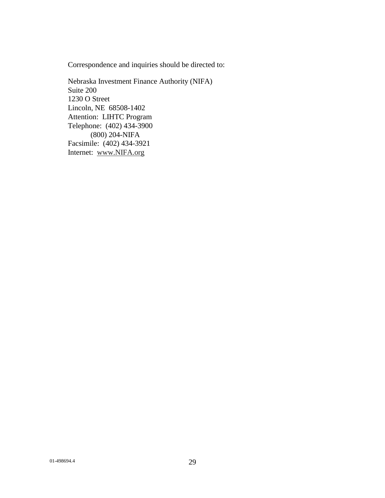Correspondence and inquiries should be directed to:

Nebraska Investment Finance Authority (NIFA) Suite 200 1230 O Street Lincoln, NE 68508-1402 Attention: LIHTC Program Telephone: (402) 434-3900 (800) 204-NIFA Facsimile: (402) 434-3921 Internet: www.NIFA.org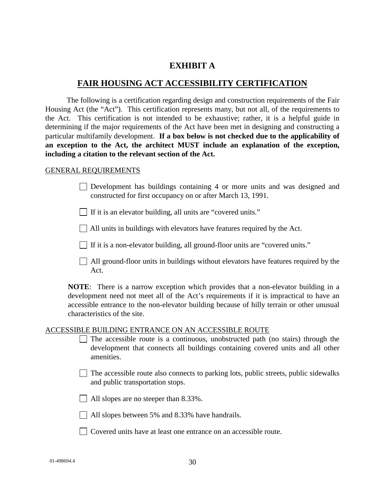#### **EXHIBIT A**

#### **FAIR HOUSING ACT ACCESSIBILITY CERTIFICATION**

The following is a certification regarding design and construction requirements of the Fair Housing Act (the "Act"). This certification represents many, but not all, of the requirements to the Act. This certification is not intended to be exhaustive; rather, it is a helpful guide in determining if the major requirements of the Act have been met in designing and constructing a particular multifamily development. **If a box below is not checked due to the applicability of an exception to the Act, the architect MUST include an explanation of the exception, including a citation to the relevant section of the Act.**

#### GENERAL REQUIREMENTS

- Development has buildings containing 4 or more units and was designed and constructed for first occupancy on or after March 13, 1991.
- $\Box$  If it is an elevator building, all units are "covered units."
- $\Box$  All units in buildings with elevators have features required by the Act.
- If it is a non-elevator building, all ground-floor units are "covered units."
- All ground-floor units in buildings without elevators have features required by the Act.

**NOTE**: There is a narrow exception which provides that a non-elevator building in a development need not meet all of the Act's requirements if it is impractical to have an accessible entrance to the non-elevator building because of hilly terrain or other unusual characteristics of the site.

#### ACCESSIBLE BUILDING ENTRANCE ON AN ACCESSIBLE ROUTE

- $\Box$  The accessible route is a continuous, unobstructed path (no stairs) through the development that connects all buildings containing covered units and all other amenities.
- $\Box$  The accessible route also connects to parking lots, public streets, public sidewalks and public transportation stops.
- All slopes are no steeper than 8.33%.
- All slopes between 5% and 8.33% have handrails.
- Covered units have at least one entrance on an accessible route.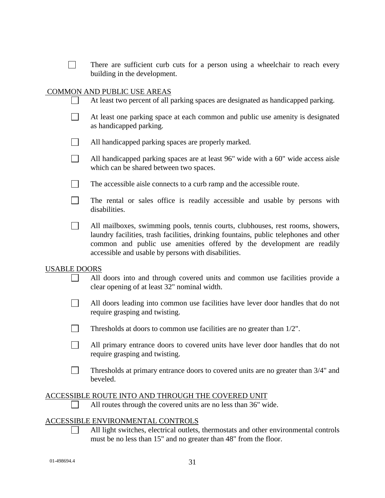There are sufficient curb cuts for a person using a wheelchair to reach every building in the development.

#### COMMON AND PUBLIC USE AREAS

| At least two percent of all parking spaces are designated as handicapped parking. |  |  |
|-----------------------------------------------------------------------------------|--|--|
|                                                                                   |  |  |

- $\Box$ At least one parking space at each common and public use amenity is designated as handicapped parking.
- $\Box$ All handicapped parking spaces are properly marked.
- $\Box$ All handicapped parking spaces are at least 96" wide with a 60" wide access aisle which can be shared between two spaces.
- $\mathbb{R}^n$ The accessible aisle connects to a curb ramp and the accessible route.
- $\Box$ The rental or sales office is readily accessible and usable by persons with disabilities.
- All mailboxes, swimming pools, tennis courts, clubhouses, rest rooms, showers,  $\Box$ laundry facilities, trash facilities, drinking fountains, public telephones and other common and public use amenities offered by the development are readily accessible and usable by persons with disabilities.

#### USABLE DOORS

- $\Box$ All doors into and through covered units and common use facilities provide a clear opening of at least 32" nominal width.
- All doors leading into common use facilities have lever door handles that do not require grasping and twisting.
- $\Box$ Thresholds at doors to common use facilities are no greater than 1/2".
- $\Box$ All primary entrance doors to covered units have lever door handles that do not require grasping and twisting.
- $\Box$ Thresholds at primary entrance doors to covered units are no greater than 3/4" and beveled.

#### ACCESSIBLE ROUTE INTO AND THROUGH THE COVERED UNIT

All routes through the covered units are no less than 36" wide.  $\Box$ 

#### ACCESSIBLE ENVIRONMENTAL CONTROLS

All light switches, electrical outlets, thermostats and other environmental controls must be no less than 15" and no greater than 48" from the floor.